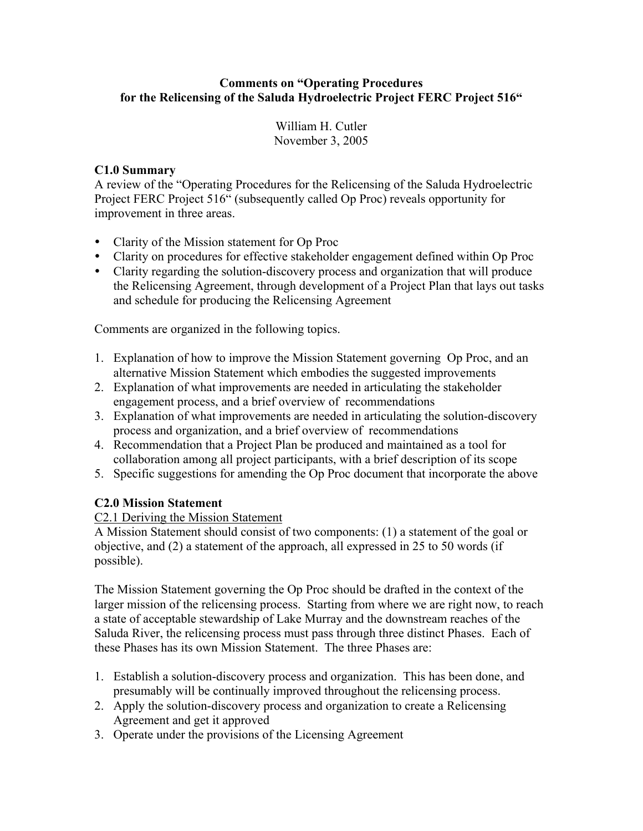### **Comments on "Operating Procedures for the Relicensing of the Saluda Hydroelectric Project FERC Project 516"**

William H. Cutler November 3, 2005

### **C1.0 Summary**

A review of the "Operating Procedures for the Relicensing of the Saluda Hydroelectric Project FERC Project 516" (subsequently called Op Proc) reveals opportunity for improvement in three areas.

- Clarity of the Mission statement for Op Proc
- Clarity on procedures for effective stakeholder engagement defined within Op Proc
- Clarity regarding the solution-discovery process and organization that will produce the Relicensing Agreement, through development of a Project Plan that lays out tasks and schedule for producing the Relicensing Agreement

Comments are organized in the following topics.

- 1. Explanation of how to improve the Mission Statement governing Op Proc, and an alternative Mission Statement which embodies the suggested improvements
- 2. Explanation of what improvements are needed in articulating the stakeholder engagement process, and a brief overview of recommendations
- 3. Explanation of what improvements are needed in articulating the solution-discovery process and organization, and a brief overview of recommendations
- 4. Recommendation that a Project Plan be produced and maintained as a tool for collaboration among all project participants, with a brief description of its scope
- 5. Specific suggestions for amending the Op Proc document that incorporate the above

# **C2.0 Mission Statement**

### C2.1 Deriving the Mission Statement

A Mission Statement should consist of two components: (1) a statement of the goal or objective, and (2) a statement of the approach, all expressed in 25 to 50 words (if possible).

The Mission Statement governing the Op Proc should be drafted in the context of the larger mission of the relicensing process. Starting from where we are right now, to reach a state of acceptable stewardship of Lake Murray and the downstream reaches of the Saluda River, the relicensing process must pass through three distinct Phases. Each of these Phases has its own Mission Statement. The three Phases are:

- 1. Establish a solution-discovery process and organization. This has been done, and presumably will be continually improved throughout the relicensing process.
- 2. Apply the solution-discovery process and organization to create a Relicensing Agreement and get it approved
- 3. Operate under the provisions of the Licensing Agreement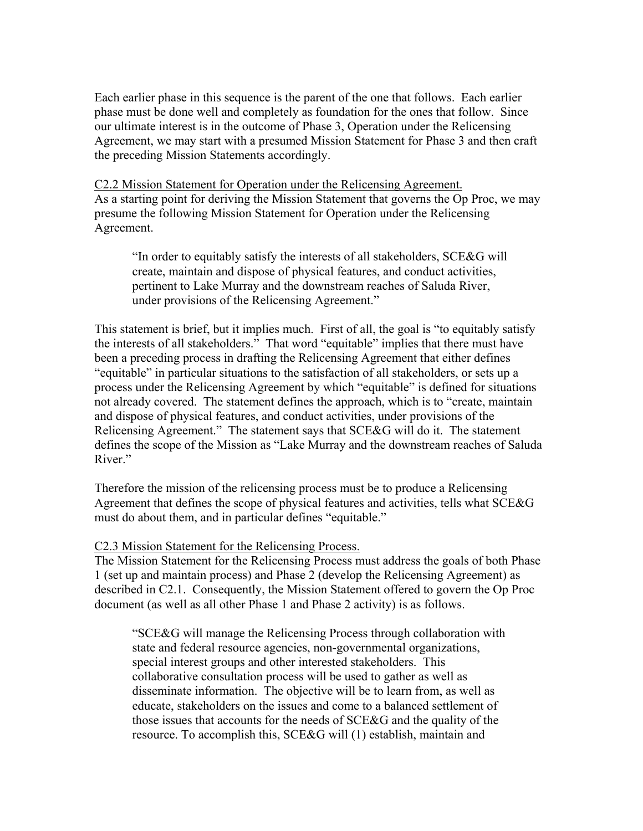Each earlier phase in this sequence is the parent of the one that follows. Each earlier phase must be done well and completely as foundation for the ones that follow. Since our ultimate interest is in the outcome of Phase 3, Operation under the Relicensing Agreement, we may start with a presumed Mission Statement for Phase 3 and then craft the preceding Mission Statements accordingly.

C2.2 Mission Statement for Operation under the Relicensing Agreement. As a starting point for deriving the Mission Statement that governs the Op Proc, we may presume the following Mission Statement for Operation under the Relicensing Agreement.

"In order to equitably satisfy the interests of all stakeholders, SCE&G will create, maintain and dispose of physical features, and conduct activities, pertinent to Lake Murray and the downstream reaches of Saluda River, under provisions of the Relicensing Agreement."

This statement is brief, but it implies much. First of all, the goal is "to equitably satisfy the interests of all stakeholders." That word "equitable" implies that there must have been a preceding process in drafting the Relicensing Agreement that either defines "equitable" in particular situations to the satisfaction of all stakeholders, or sets up a process under the Relicensing Agreement by which "equitable" is defined for situations not already covered. The statement defines the approach, which is to "create, maintain and dispose of physical features, and conduct activities, under provisions of the Relicensing Agreement." The statement says that SCE&G will do it. The statement defines the scope of the Mission as "Lake Murray and the downstream reaches of Saluda River."

Therefore the mission of the relicensing process must be to produce a Relicensing Agreement that defines the scope of physical features and activities, tells what SCE&G must do about them, and in particular defines "equitable."

#### C2.3 Mission Statement for the Relicensing Process.

The Mission Statement for the Relicensing Process must address the goals of both Phase 1 (set up and maintain process) and Phase 2 (develop the Relicensing Agreement) as described in C2.1. Consequently, the Mission Statement offered to govern the Op Proc document (as well as all other Phase 1 and Phase 2 activity) is as follows.

"SCE&G will manage the Relicensing Process through collaboration with state and federal resource agencies, non-governmental organizations, special interest groups and other interested stakeholders. This collaborative consultation process will be used to gather as well as disseminate information. The objective will be to learn from, as well as educate, stakeholders on the issues and come to a balanced settlement of those issues that accounts for the needs of SCE&G and the quality of the resource. To accomplish this, SCE&G will (1) establish, maintain and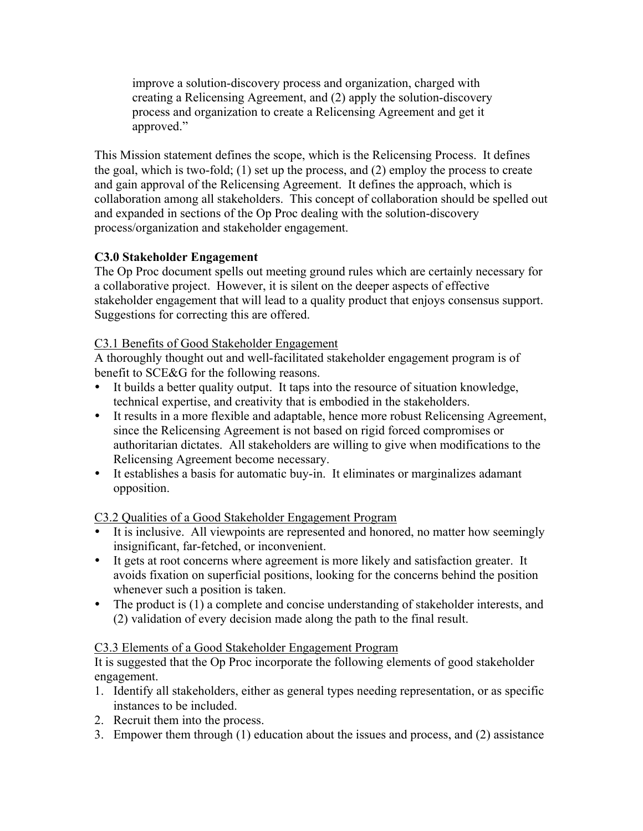improve a solution-discovery process and organization, charged with creating a Relicensing Agreement, and (2) apply the solution-discovery process and organization to create a Relicensing Agreement and get it approved."

This Mission statement defines the scope, which is the Relicensing Process. It defines the goal, which is two-fold; (1) set up the process, and (2) employ the process to create and gain approval of the Relicensing Agreement. It defines the approach, which is collaboration among all stakeholders. This concept of collaboration should be spelled out and expanded in sections of the Op Proc dealing with the solution-discovery process/organization and stakeholder engagement.

# **C3.0 Stakeholder Engagement**

The Op Proc document spells out meeting ground rules which are certainly necessary for a collaborative project. However, it is silent on the deeper aspects of effective stakeholder engagement that will lead to a quality product that enjoys consensus support. Suggestions for correcting this are offered.

# C3.1 Benefits of Good Stakeholder Engagement

A thoroughly thought out and well-facilitated stakeholder engagement program is of benefit to SCE&G for the following reasons.

- It builds a better quality output. It taps into the resource of situation knowledge, technical expertise, and creativity that is embodied in the stakeholders.
- y It results in a more flexible and adaptable, hence more robust Relicensing Agreement, since the Relicensing Agreement is not based on rigid forced compromises or authoritarian dictates. All stakeholders are willing to give when modifications to the Relicensing Agreement become necessary.
- It establishes a basis for automatic buy-in. It eliminates or marginalizes adamant opposition.

# C3.2 Qualities of a Good Stakeholder Engagement Program

- It is inclusive. All viewpoints are represented and honored, no matter how seemingly insignificant, far-fetched, or inconvenient.
- It gets at root concerns where agreement is more likely and satisfaction greater. It avoids fixation on superficial positions, looking for the concerns behind the position whenever such a position is taken.
- The product is (1) a complete and concise understanding of stakeholder interests, and (2) validation of every decision made along the path to the final result.

# C3.3 Elements of a Good Stakeholder Engagement Program

It is suggested that the Op Proc incorporate the following elements of good stakeholder engagement.

- 1. Identify all stakeholders, either as general types needing representation, or as specific instances to be included.
- 2. Recruit them into the process.
- 3. Empower them through (1) education about the issues and process, and (2) assistance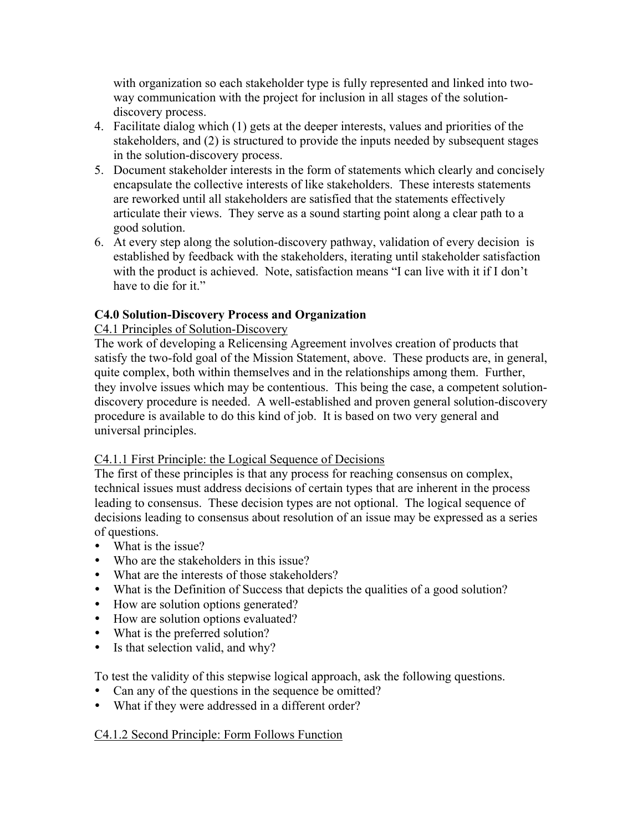with organization so each stakeholder type is fully represented and linked into twoway communication with the project for inclusion in all stages of the solutiondiscovery process.

- 4. Facilitate dialog which (1) gets at the deeper interests, values and priorities of the stakeholders, and (2) is structured to provide the inputs needed by subsequent stages in the solution-discovery process.
- 5. Document stakeholder interests in the form of statements which clearly and concisely encapsulate the collective interests of like stakeholders. These interests statements are reworked until all stakeholders are satisfied that the statements effectively articulate their views. They serve as a sound starting point along a clear path to a good solution.
- 6. At every step along the solution-discovery pathway, validation of every decision is established by feedback with the stakeholders, iterating until stakeholder satisfaction with the product is achieved. Note, satisfaction means "I can live with it if I don't have to die for it."

## **C4.0 Solution-Discovery Process and Organization**

## C4.1 Principles of Solution-Discovery

The work of developing a Relicensing Agreement involves creation of products that satisfy the two-fold goal of the Mission Statement, above. These products are, in general, quite complex, both within themselves and in the relationships among them. Further, they involve issues which may be contentious. This being the case, a competent solutiondiscovery procedure is needed. A well-established and proven general solution-discovery procedure is available to do this kind of job. It is based on two very general and universal principles.

### C4.1.1 First Principle: the Logical Sequence of Decisions

The first of these principles is that any process for reaching consensus on complex, technical issues must address decisions of certain types that are inherent in the process leading to consensus. These decision types are not optional. The logical sequence of decisions leading to consensus about resolution of an issue may be expressed as a series of questions.

- What is the issue?
- Who are the stakeholders in this issue?
- What are the interests of those stakeholders?
- What is the Definition of Success that depicts the qualities of a good solution?
- How are solution options generated?
- How are solution options evaluated?
- What is the preferred solution?
- Is that selection valid, and why?

To test the validity of this stepwise logical approach, ask the following questions.

- Can any of the questions in the sequence be omitted?
- What if they were addressed in a different order?

### C4.1.2 Second Principle: Form Follows Function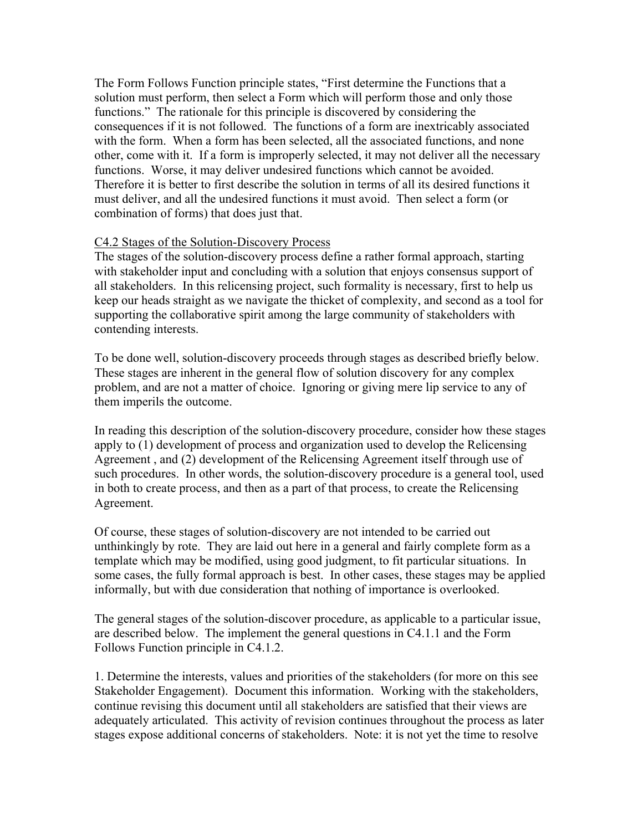The Form Follows Function principle states, "First determine the Functions that a solution must perform, then select a Form which will perform those and only those functions." The rationale for this principle is discovered by considering the consequences if it is not followed. The functions of a form are inextricably associated with the form. When a form has been selected, all the associated functions, and none other, come with it. If a form is improperly selected, it may not deliver all the necessary functions. Worse, it may deliver undesired functions which cannot be avoided. Therefore it is better to first describe the solution in terms of all its desired functions it must deliver, and all the undesired functions it must avoid. Then select a form (or combination of forms) that does just that.

#### C4.2 Stages of the Solution-Discovery Process

The stages of the solution-discovery process define a rather formal approach, starting with stakeholder input and concluding with a solution that enjoys consensus support of all stakeholders. In this relicensing project, such formality is necessary, first to help us keep our heads straight as we navigate the thicket of complexity, and second as a tool for supporting the collaborative spirit among the large community of stakeholders with contending interests.

To be done well, solution-discovery proceeds through stages as described briefly below. These stages are inherent in the general flow of solution discovery for any complex problem, and are not a matter of choice. Ignoring or giving mere lip service to any of them imperils the outcome.

In reading this description of the solution-discovery procedure, consider how these stages apply to (1) development of process and organization used to develop the Relicensing Agreement , and (2) development of the Relicensing Agreement itself through use of such procedures. In other words, the solution-discovery procedure is a general tool, used in both to create process, and then as a part of that process, to create the Relicensing Agreement.

Of course, these stages of solution-discovery are not intended to be carried out unthinkingly by rote. They are laid out here in a general and fairly complete form as a template which may be modified, using good judgment, to fit particular situations. In some cases, the fully formal approach is best. In other cases, these stages may be applied informally, but with due consideration that nothing of importance is overlooked.

The general stages of the solution-discover procedure, as applicable to a particular issue, are described below. The implement the general questions in C4.1.1 and the Form Follows Function principle in C4.1.2.

1. Determine the interests, values and priorities of the stakeholders (for more on this see Stakeholder Engagement). Document this information. Working with the stakeholders, continue revising this document until all stakeholders are satisfied that their views are adequately articulated. This activity of revision continues throughout the process as later stages expose additional concerns of stakeholders. Note: it is not yet the time to resolve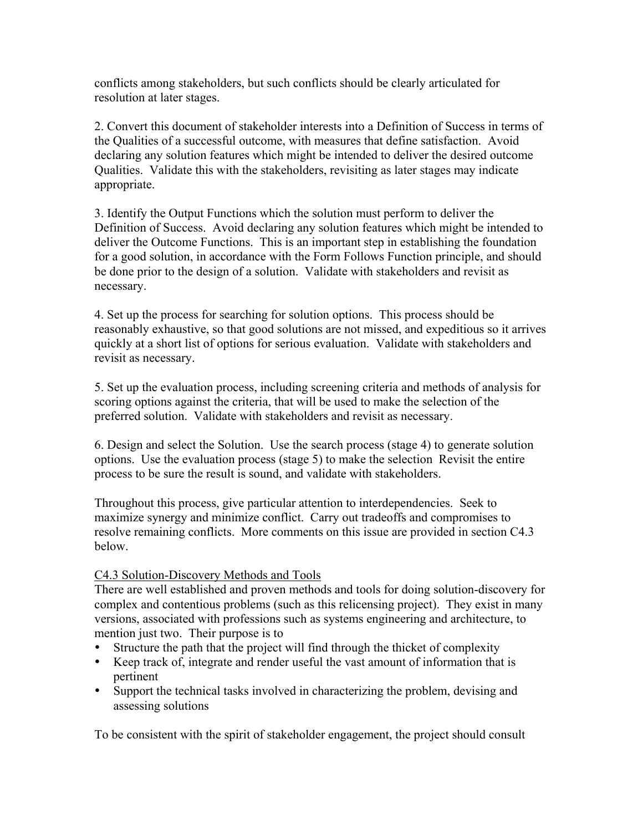conflicts among stakeholders, but such conflicts should be clearly articulated for resolution at later stages.

2. Convert this document of stakeholder interests into a Definition of Success in terms of the Qualities of a successful outcome, with measures that define satisfaction. Avoid declaring any solution features which might be intended to deliver the desired outcome Qualities. Validate this with the stakeholders, revisiting as later stages may indicate appropriate.

3. Identify the Output Functions which the solution must perform to deliver the Definition of Success. Avoid declaring any solution features which might be intended to deliver the Outcome Functions. This is an important step in establishing the foundation for a good solution, in accordance with the Form Follows Function principle, and should be done prior to the design of a solution. Validate with stakeholders and revisit as necessary.

4. Set up the process for searching for solution options. This process should be reasonably exhaustive, so that good solutions are not missed, and expeditious so it arrives quickly at a short list of options for serious evaluation. Validate with stakeholders and revisit as necessary.

5. Set up the evaluation process, including screening criteria and methods of analysis for scoring options against the criteria, that will be used to make the selection of the preferred solution. Validate with stakeholders and revisit as necessary.

6. Design and select the Solution. Use the search process (stage 4) to generate solution options. Use the evaluation process (stage 5) to make the selection Revisit the entire process to be sure the result is sound, and validate with stakeholders.

Throughout this process, give particular attention to interdependencies. Seek to maximize synergy and minimize conflict. Carry out tradeoffs and compromises to resolve remaining conflicts. More comments on this issue are provided in section C4.3 below.

### C4.3 Solution-Discovery Methods and Tools

There are well established and proven methods and tools for doing solution-discovery for complex and contentious problems (such as this relicensing project). They exist in many versions, associated with professions such as systems engineering and architecture, to mention just two. Their purpose is to

- Structure the path that the project will find through the thicket of complexity
- Keep track of, integrate and render useful the vast amount of information that is pertinent
- Support the technical tasks involved in characterizing the problem, devising and assessing solutions

To be consistent with the spirit of stakeholder engagement, the project should consult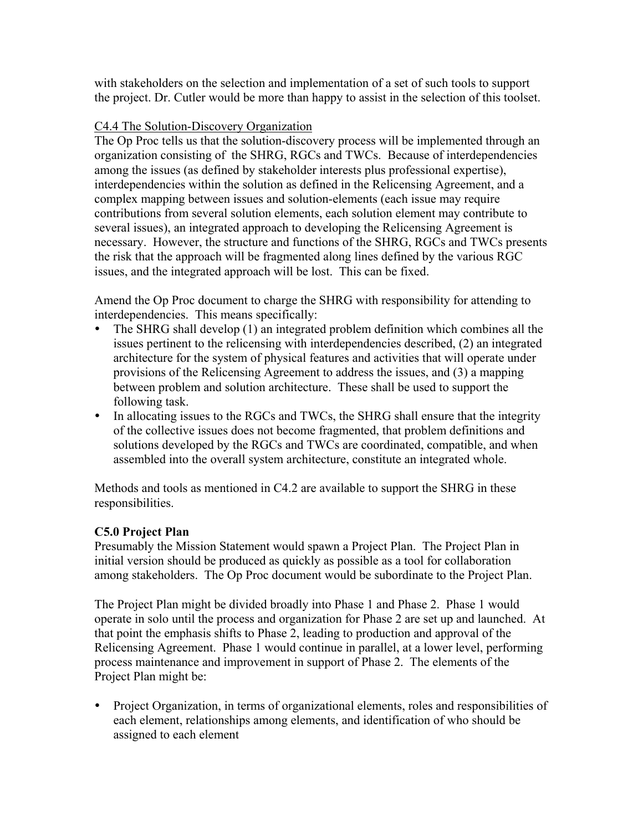with stakeholders on the selection and implementation of a set of such tools to support the project. Dr. Cutler would be more than happy to assist in the selection of this toolset.

### C4.4 The Solution-Discovery Organization

The Op Proc tells us that the solution-discovery process will be implemented through an organization consisting of the SHRG, RGCs and TWCs. Because of interdependencies among the issues (as defined by stakeholder interests plus professional expertise), interdependencies within the solution as defined in the Relicensing Agreement, and a complex mapping between issues and solution-elements (each issue may require contributions from several solution elements, each solution element may contribute to several issues), an integrated approach to developing the Relicensing Agreement is necessary. However, the structure and functions of the SHRG, RGCs and TWCs presents the risk that the approach will be fragmented along lines defined by the various RGC issues, and the integrated approach will be lost. This can be fixed.

Amend the Op Proc document to charge the SHRG with responsibility for attending to interdependencies. This means specifically:

- $\bullet$  The SHRG shall develop (1) an integrated problem definition which combines all the issues pertinent to the relicensing with interdependencies described, (2) an integrated architecture for the system of physical features and activities that will operate under provisions of the Relicensing Agreement to address the issues, and (3) a mapping between problem and solution architecture. These shall be used to support the following task.
- In allocating issues to the RGCs and TWCs, the SHRG shall ensure that the integrity of the collective issues does not become fragmented, that problem definitions and solutions developed by the RGCs and TWCs are coordinated, compatible, and when assembled into the overall system architecture, constitute an integrated whole.

Methods and tools as mentioned in C4.2 are available to support the SHRG in these responsibilities.

### **C5.0 Project Plan**

Presumably the Mission Statement would spawn a Project Plan. The Project Plan in initial version should be produced as quickly as possible as a tool for collaboration among stakeholders. The Op Proc document would be subordinate to the Project Plan.

The Project Plan might be divided broadly into Phase 1 and Phase 2. Phase 1 would operate in solo until the process and organization for Phase 2 are set up and launched. At that point the emphasis shifts to Phase 2, leading to production and approval of the Relicensing Agreement. Phase 1 would continue in parallel, at a lower level, performing process maintenance and improvement in support of Phase 2. The elements of the Project Plan might be:

• Project Organization, in terms of organizational elements, roles and responsibilities of each element, relationships among elements, and identification of who should be assigned to each element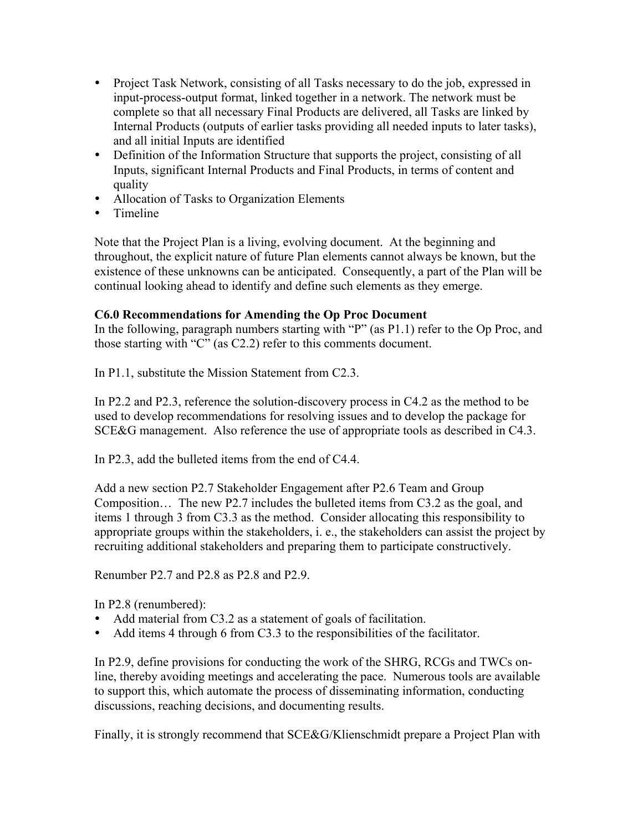- Project Task Network, consisting of all Tasks necessary to do the job, expressed in input-process-output format, linked together in a network. The network must be complete so that all necessary Final Products are delivered, all Tasks are linked by Internal Products (outputs of earlier tasks providing all needed inputs to later tasks), and all initial Inputs are identified
- Definition of the Information Structure that supports the project, consisting of all Inputs, significant Internal Products and Final Products, in terms of content and quality
- Allocation of Tasks to Organization Elements
- Timeline

Note that the Project Plan is a living, evolving document. At the beginning and throughout, the explicit nature of future Plan elements cannot always be known, but the existence of these unknowns can be anticipated. Consequently, a part of the Plan will be continual looking ahead to identify and define such elements as they emerge.

### **C6.0 Recommendations for Amending the Op Proc Document**

In the following, paragraph numbers starting with "P" (as P1.1) refer to the Op Proc, and those starting with "C" (as C2.2) refer to this comments document.

In P1.1, substitute the Mission Statement from C2.3.

In P2.2 and P2.3, reference the solution-discovery process in C4.2 as the method to be used to develop recommendations for resolving issues and to develop the package for SCE&G management. Also reference the use of appropriate tools as described in C4.3.

In P2.3, add the bulleted items from the end of C4.4.

Add a new section P2.7 Stakeholder Engagement after P2.6 Team and Group Composition… The new P2.7 includes the bulleted items from C3.2 as the goal, and items 1 through 3 from C3.3 as the method. Consider allocating this responsibility to appropriate groups within the stakeholders, i. e., the stakeholders can assist the project by recruiting additional stakeholders and preparing them to participate constructively.

Renumber P2.7 and P2.8 as P2.8 and P2.9.

In P2.8 (renumbered):

- $\bullet$  Add material from C3.2 as a statement of goals of facilitation.
- $\bullet$  Add items 4 through 6 from C3.3 to the responsibilities of the facilitator.

In P2.9, define provisions for conducting the work of the SHRG, RCGs and TWCs online, thereby avoiding meetings and accelerating the pace. Numerous tools are available to support this, which automate the process of disseminating information, conducting discussions, reaching decisions, and documenting results.

Finally, it is strongly recommend that SCE&G/Klienschmidt prepare a Project Plan with